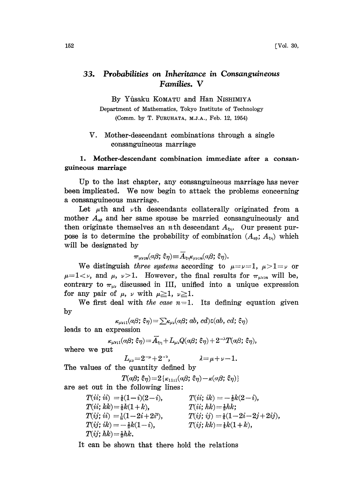# 33. Probabilities on Inheritance in Consanguineous Families. V

By Yfisaku KOMATU and Han NISHIMIYA

Department of Mathematics, Tokyo Institute of Technology (Comm. by T. FURUHATA, M.J.A., Feb. 12, 1954)

V. Mother-descendant combinations through a single consanguineous marriage

#### 1. Mother-descendant combination immediate after a consanguineous marriage

Up to the last chapter, any consanguineous marriage has never been implicated. We now begin to attack the problems concerning a consanguineous marriage.

Let  $\mu$ th and  $\nu$ th descendants collaterally originated from a mother  $A_{\alpha\beta}$  and her same spouse be married consanguineously and then originate themselves an *n*th descendant  $A_{\xi\eta}$ . Our present purpose is to determine the probability of combination  $(A_{\alpha\beta}; A_{\xi\eta})$  which will be designated by

$$
\pi_{\mu\nu;\boldsymbol{n}}(\alpha\beta;\,\hat{\boldsymbol{\varsigma}}\eta)\!\equiv\!\overline{A}_{\boldsymbol{\xi}\eta}\!\kappa_{\mu\nu;\boldsymbol{n}}(\alpha\beta;\,\hat{\boldsymbol{\varsigma}}\eta).
$$

We distinguish three systems according to  $\mu = \nu = 1$ ,  $\mu > 1 = \nu$  or We distinguish three systems according to  $\mu = 1$ ,  $\mu > 1 = \nu$  or  $\mu = 1 < \nu$ , and  $\mu$ ,  $\nu > 1$ . However, the final results for  $\pi_{\mu\nu; n}$  will be, contrary to  $\pi_{\mu\nu}$  discussed in III, unified into a unique expressio  $\mu=1<\nu$ , and  $\mu$ ,  $\nu>1$ . However, the final results for  $\pi_{\mu\nu;\,n}$  will be, for any pair of  $\mu$ ,  $\nu$  with  $\mu \geq 1$ ,  $\nu \geq 1$ .

We first deal with the case  $n=1$ . Its defining equation given by

$$
\kappa_{\mu\nu;1}(a\beta;\,\hat{\varsigma}\eta)\!=\!\textstyle\sum\!\kappa_{\mu\nu}(a\beta;\,ab,\,cd)\epsilon(ab,\,cd;\,\hat{\varsigma}\eta)
$$

leads to an expression

$$
\kappa_{\mu\nu;\,1}(\alpha\beta;\,\hat{\varepsilon}\eta)\!=\!\widetilde{A_{\varepsilon\eta}}\!+\!L_{\mu\nu}Q(\alpha\beta;\,\hat{\varepsilon}\eta)\!+\!2^{-\lambda}T(\alpha\beta;\,\hat{\varepsilon}\eta),
$$

where we put

$$
_{\mu\nu}=2^{-\mu}+2^{-\nu},\qquad\qquad\lambda=\mu+\nu-1
$$

The values of the quantity defined by<br>The values of the quantity defined by

$$
T(a\beta; \xi\eta) = 2\{\kappa_{11;1}(a\beta; \xi\eta) - \kappa(a\beta; \xi\eta)\}\
$$

are set out in the following lines:

 $T(ii; ii) = \frac{1}{4}(1-i)(2-i),$  $T(ii; kk) = \frac{1}{4}k(1 + k),$  $T(ij; ii) = \frac{1}{8}(1- 2i + 2i^2),$  $T(ij; ik) = -\frac{1}{2}k(1 - i),$  $T(i; hk) = \frac{1}{2}hk.$  $T(i\mathbf{i}; i\mathbf{k}) = -\frac{1}{2}k(2 - i),$  $T(iik) = \frac{1}{2}hk;$  $T(ij; ij) = \frac{1}{4}(1-2i-2j+2ij),$  $T(ij; kk) = \frac{1}{2}k(1 + k),$ 

It can be shown that there hold the relations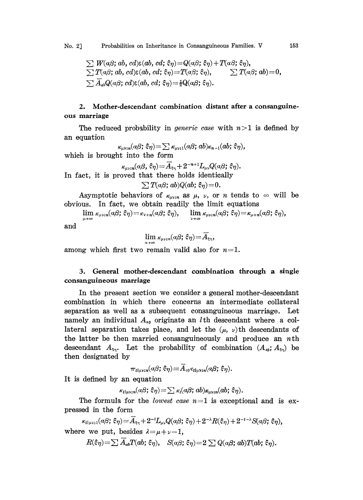$\sum W(a\beta; ab, cd) \varepsilon(ab, cd; \varepsilon\eta) = Q(a\beta; \varepsilon\eta) + T(a\beta; \varepsilon\eta),$  $\sum T(\alpha\beta; ab, cd) \varepsilon(ab, cd; \xi\eta) = T(\alpha\beta; \xi\eta), \qquad \sum T(\alpha\beta; ab) = 0,$  $\sum \overline{A}_{ab}Q(a\beta; cd)\varepsilon(ab, cd; \xi\eta) = \frac{1}{2}Q(a\beta; \xi\eta).$ 

### 2. Mother.descendant combination distant after a consanguineous marriage

The reduced probability in *generic case* with  $n>1$  is defined by an equation

 $\kappa_{\mu\nu;n}(a\beta;\xi\eta) = \sum \kappa_{\mu\nu;1}(a\beta;ab)\kappa_{n-1}(ab;\xi\eta),$ which is brought into the form  $\kappa_{\mu\nu;n}(\alpha\beta,\,\xi\eta) = \overline{A}_{\xi\eta} + 2^{-n+1}L_{\mu\nu}Q(\alpha\beta;\,\xi\eta).$ In fact, it is proved that there holds identically  $\sum T(a\beta; ab)Q(ab; \xi_{\eta}) = 0.$ 

Asymptotic behaviors of  $\kappa_{\mu\nu;\,n}$  as  $\mu$ ,  $\nu$ , or n tends to  $\infty$  will be obvious. In fact, we obtain readily the limit equations

 $\lim_{\kappa_{\mu\nu};n}(\alpha\beta;\xi\eta) = \kappa_{\nu+n}(\alpha\beta;\xi\eta), \quad \lim_{\kappa_{\mu\nu};n}(\alpha\beta;\xi\eta) = \kappa_{\mu+n}(\alpha\beta;\xi\eta),$ 

and

$$
\lim \kappa_{\mu\nu;\,n}(\alpha\beta;\,\xi\eta)\!=\!\overline{A}_{\xi\eta},
$$

among which first two remain valid also for  $n=1$ .

## 3. General mother-descendant combination through a single consanguineous marriage

In the present section we consider a general mother-descendant combination in which there concerns an intermediate collateral separation as well as a subsequent consanguineous marriage. Let namely an individual  $A_{\alpha\beta}$  originate an *l* th descendant where a collateral separation takes place, and let the  $(\mu, \nu)$ th descendants of the latter be then married consanguineously and produce an  $n$ th descendant  $A_{\xi_{\eta}}$ . Let the probability of combination  $(A_{\xi_{\eta}}; A_{\xi_{\eta}})$  be then designated by

$$
\pi_{\imath\mathfrak{l}\mu\mathfrak{v};n}(\alpha\beta;\,\xi\eta)\!=\!\overline{A}_{\mathfrak{s}\beta}\kappa_{\imath\mathfrak{l}\mu\mathfrak{v};n}(\alpha\beta;\,\xi\eta).
$$

It is defined by an equation

$$
\kappa_{\iota|\mu\nu;n}(a\beta;\,\xi\eta) = \sum \kappa_{\iota}(a\beta;\,ab)\kappa_{\mu\nu;n}(ab;\,\xi\eta).
$$

The formula for the *lowest case*  $n=1$  is exceptional and is expressed in the form

 $\kappa_{l|uv,1}(\alpha\beta;\xi\eta) = A_{\xi\eta} + 2^{-l}L_{uv}Q(\alpha\beta;\xi\eta) + 2^{-\lambda}R(\xi\eta) + 2^{-l-\lambda}S(\alpha\beta;\xi\eta),$ where we put, besides  $\lambda = \mu + \nu - 1$ ,

 $R(\xi \eta) = \sum \overline{A}_{ab} T(ab; \xi \eta), \quad S(a\beta; \xi \eta) = 2 \sum Q(a\beta; ab) T(ab; \xi \eta).$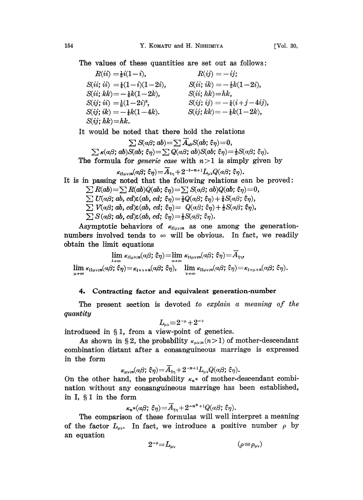The values of these quantities are set out as follows:

 $R(ii) = \frac{1}{2}i(1 - i),$  $S(ii; ii) = \frac{1}{4}(1-i)(1-2i), \hspace{1cm} S(ii; ik) = -\frac{1}{2}k(1-2i),$  $S(ii; kk) = -\frac{1}{4}k(1-2k),$  $S(ij; ii) = \frac{1}{8}(1 - 2i)^2$ ,  $S(ij; ik) = -\frac{1}{4}k(1-4k).$  $S(ij; hk) = hk.$  $R(ij) = -ij$ ;  $S(ii; hk)=hk$ ,  $S(ij; i j) = -\frac{1}{4}(i +j -4ij),$  $S(ij; kk) = -\frac{1}{2}k(1 - 2k),$ 

It would be noted that there hold the relations

 $\sum S(a\beta; ab) = \sum A_{ab}S(ab; \xi\eta) = 0,$  $\sum \kappa(\alpha\beta; ab)S(ab; \xi\eta) = \sum Q(\alpha\beta; ab)S(ab; \xi\eta) = \frac{1}{2}S(\alpha\beta; \xi\eta).$ The formula for *generic case* with  $n>1$  is simply given by

$$
\kappa_{l|\mu\nu;\boldsymbol{n}}(a\beta;\,\xi\eta)\!=\!\overline{A}_{\varepsilon\eta}+2^{-l-\boldsymbol{n}+1}L_{\mu\nu}Q(a\beta;\,\xi\eta).
$$

It is in passing noted that the following relations can be proved:  $\sum R(ab) = \sum R(ab)Q(ab; \xi \eta) = \sum S(a\beta; ab)Q(ab; \xi \eta) = 0,$ 

 $\sum U(a\beta; ab, cd) \varepsilon(ab, cd; \xi\eta) = \frac{1}{2}Q(a\beta; \xi\eta) + \frac{1}{4}S(a\beta; \xi\eta),$ 

- $\sum V(a\beta; ab, cd) \varepsilon(ab, cd; \xi\eta) = Q(a\beta; \xi\eta) + \frac{1}{2}S(a\beta; \xi\eta),$
- $\sum S(a\beta; ab, cd) \varepsilon(ab, cd; \xi\eta) = \frac{1}{2}S(a\beta; \xi\eta).$

Asymptotic behaviors of  $\kappa_{\iota|\mu\nu;\boldsymbol{n}}$  as one among the generationnumbers involved tends to  $\infty$  will be obvious. In fact, we readily obtain the limit equations

$$
\lim_{\substack{l\to\infty\\ \lim\limits_{\mu\to\infty}}}\kappa_{l\mid\mu\nu;\,n}(\alpha\beta;\,\xi\eta)=\lim_{\substack{n\to\infty\\ \lim\limits_{\nu\to\infty}}}\kappa_{l\mid\mu\nu;\,n}(\alpha\beta;\,\xi\eta)=\overline{A}_{\xi\eta},
$$
\n
$$
\lim_{\mu\to\infty}\kappa_{l\mid\mu\nu;\,n}(\alpha\beta;\,\xi\eta)=\kappa_{l+\mu+n}(\alpha\beta;\,\xi\eta).
$$

#### 4. Contracting factor and equivalent generation-number

The present section is devoted to explain a meaning of the quantity

$$
L_{\mu\nu}\!\equiv\!2^{-\mu}\!+\!2^{-\nu}
$$

guantly<br>  $L_{\mu\nu} = 2^{-\mu} + 2^{-\nu}$ <br>
introduced in § 1, from a view-point of genetics.

As shown in § 2, the probability  $\kappa_{\mu\nu;\bar{n}}(n>1)$  of mother-descendant combination distant after a consanguineous marriage is expressed in the form

$$
\kappa_{\mu\nu;\boldsymbol{n}}(\alpha\beta;\,\boldsymbol{\hat{\varepsilon}}\overline{\eta})\!=\!\overline{A}_{\varepsilon\overline{\eta}}\!+\!2^{-\boldsymbol{n}+1}L_{\mu\nu}Q(\alpha\beta;\,\boldsymbol{\hat{\varepsilon}}\overline{\eta}).
$$

On the other hand, the probability  $\kappa_n^*$  of mother-descendant combination without any consanguineous marriage has been established, in I,  $§ 1$  in the form

$$
\kappa_n*(\alpha\beta; \xi\eta) = A_{\xi\eta} + 2^{-n^*+1}Q(\alpha\beta; \xi\eta).
$$

The comparison of these formulas will well interpret a meaning of the factor  $L_{\mu\nu}$ . In fact, we introduce a positive number  $\rho$  by an equation

$$
2^{-\rho} = L_{\mu\nu} \qquad \qquad (\rho \equiv \rho_{\mu\nu})
$$